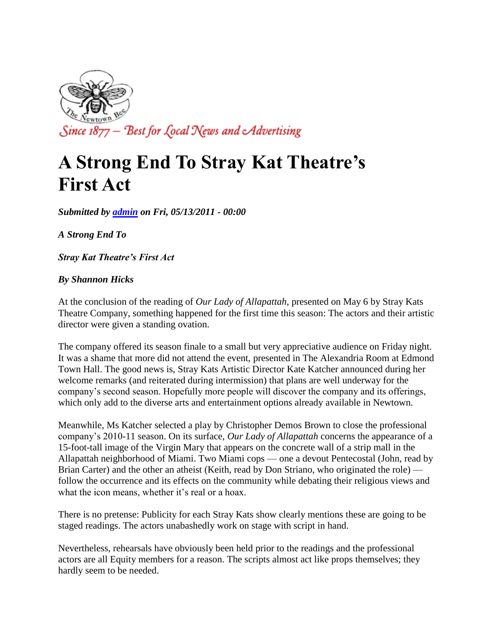

## **A Strong End To Stray Kat Theatre's First Act**

*Submitted by [admin](http://newtownbee.com/users/admin) on Fri, 05/13/2011 - 00:00* 

*A Strong End To* 

*Stray Kat Theatre's First Act* 

## *By Shannon Hicks*

At the conclusion of the reading of *Our Lady of Allapattah*, presented on May 6 by Stray Kats Theatre Company, something happened for the first time this season: The actors and their artistic director were given a standing ovation.

The company offered its season finale to a small but very appreciative audience on Friday night. It was a shame that more did not attend the event, presented in The Alexandria Room at Edmond Town Hall. The good news is, Stray Kats Artistic Director Kate Katcher announced during her welcome remarks (and reiterated during intermission) that plans are well underway for the company's second season. Hopefully more people will discover the company and its offerings, which only add to the diverse arts and entertainment options already available in Newtown.

Meanwhile, Ms Katcher selected a play by Christopher Demos Brown to close the professional company's 2010-11 season. On its surface, *Our Lady of Allapattah* concerns the appearance of a 15-foot-tall image of the Virgin Mary that appears on the concrete wall of a strip mall in the Allapattah neighborhood of Miami. Two Miami cops — one a devout Pentecostal (John, read by Brian Carter) and the other an atheist (Keith, read by Don Striano, who originated the role) follow the occurrence and its effects on the community while debating their religious views and what the icon means, whether it's real or a hoax.

There is no pretense: Publicity for each Stray Kats show clearly mentions these are going to be staged readings. The actors unabashedly work on stage with script in hand.

Nevertheless, rehearsals have obviously been held prior to the readings and the professional actors are all Equity members for a reason. The scripts almost act like props themselves; they hardly seem to be needed.